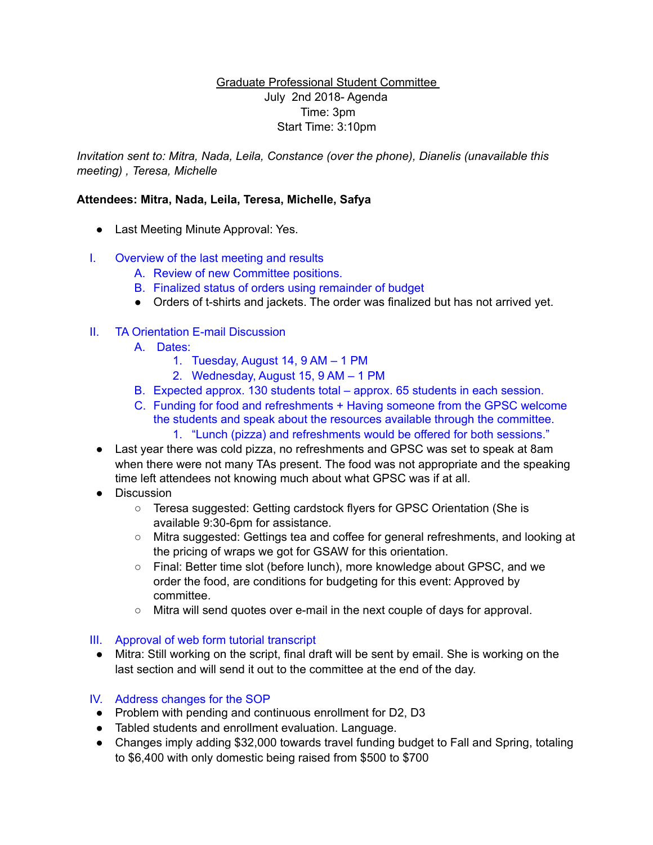## Graduate Professional Student Committee July 2nd 2018- Agenda Time: 3pm Start Time: 3:10pm

*Invitation sent to: Mitra, Nada, Leila, Constance (over the phone), Dianelis (unavailable this meeting) , Teresa, Michelle* 

# **Attendees: Mitra, Nada, Leila, Teresa, Michelle, Safya**

- Last Meeting Minute Approval: Yes.
- I. Overview of the last meeting and results
	- A. Review of new Committee positions.
	- B. Finalized status of orders using remainder of budget
	- Orders of t-shirts and jackets. The order was finalized but has not arrived yet.

## II. TA Orientation E-mail Discussion

- A. Dates:
	- 1. Tuesday, August 14, 9 AM 1 PM
	- 2. Wednesday, August 15, 9 AM 1 PM
- B. Expected approx. 130 students total approx. 65 students in each session.
- C. Funding for food and refreshments + Having someone from the GPSC welcome the students and speak about the resources available through the committee.
	- 1. "Lunch (pizza) and refreshments would be offered for both sessions."
- Last year there was cold pizza, no refreshments and GPSC was set to speak at 8am when there were not many TAs present. The food was not appropriate and the speaking time left attendees not knowing much about what GPSC was if at all.
- Discussion
	- Teresa suggested: Getting cardstock flyers for GPSC Orientation (She is available 9:30-6pm for assistance.
	- Mitra suggested: Gettings tea and coffee for general refreshments, and looking at the pricing of wraps we got for GSAW for this orientation.
	- Final: Better time slot (before lunch), more knowledge about GPSC, and we order the food, are conditions for budgeting for this event: Approved by committee.
	- Mitra will send quotes over e-mail in the next couple of days for approval.

#### III. Approval of web form tutorial transcript

• Mitra: Still working on the script, final draft will be sent by email. She is working on the last section and will send it out to the committee at the end of the day.

#### IV. Address changes for the SOP

- Problem with pending and continuous enrollment for D2, D3
- Tabled students and enrollment evaluation. Language.
- Changes imply adding \$32,000 towards travel funding budget to Fall and Spring, totaling to \$6,400 with only domestic being raised from \$500 to \$700